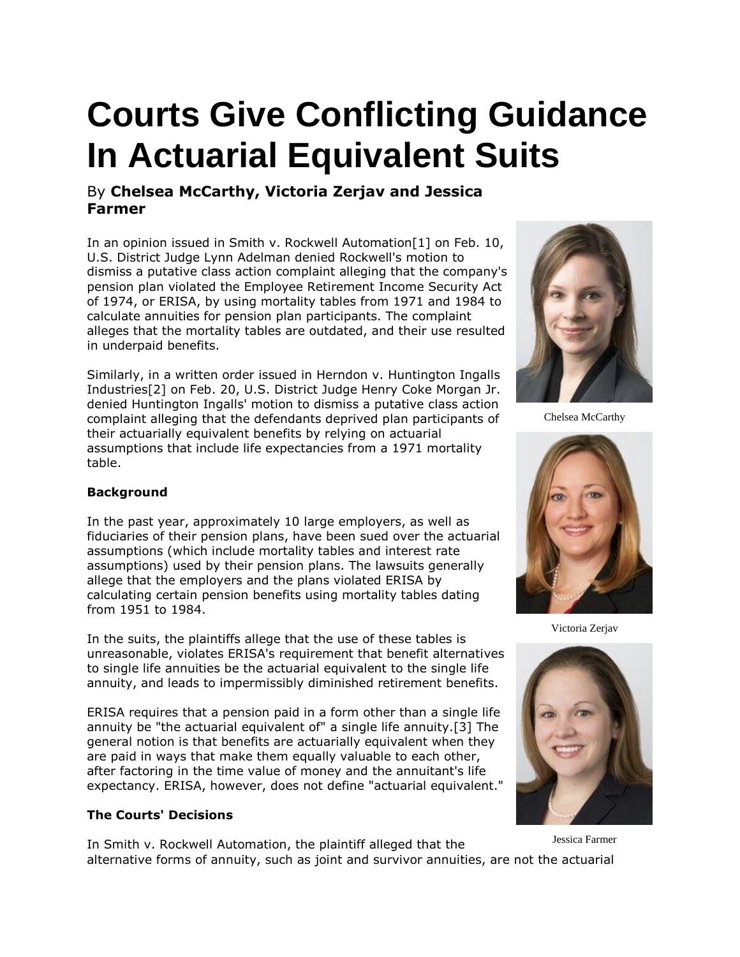# **Courts Give Conflicting Guidance In Actuarial Equivalent Suits**

## By **Chelsea McCarthy, Victoria Zerjav and Jessica Farmer**

In an opinion issued in Smith v. Rockwell Automation[1] on Feb. 10, U.S. District Judge Lynn Adelman denied Rockwell's motion to dismiss a putative class action complaint alleging that the company's pension plan violated the Employee Retirement Income Security Act of 1974, or ERISA, by using mortality tables from 1971 and 1984 to calculate annuities for pension plan participants. The complaint alleges that the mortality tables are outdated, and their use resulted in underpaid benefits.

Similarly, in a written order issued in Herndon v. [Huntington Ingalls](https://www.law360.com/companies/huntington-ingalls-industries-inc)  [Industries\[](https://www.law360.com/companies/huntington-ingalls-industries-inc)2] on Feb. 20, U.S. District Judge Henry Coke Morgan Jr. denied Huntington Ingalls' motion to dismiss a putative class action complaint alleging that the defendants deprived plan participants of their actuarially equivalent benefits by relying on actuarial assumptions that include life expectancies from a 1971 mortality table.



Chelsea McCarthy

### **Background**

In the past year, approximately 10 large employers, as well as fiduciaries of their pension plans, have been sued over the actuarial assumptions (which include mortality tables and interest rate assumptions) used by their pension plans. The lawsuits generally allege that the employers and the plans violated ERISA by calculating certain pension benefits using mortality tables dating from 1951 to 1984.

In the suits, the plaintiffs allege that the use of these tables is unreasonable, violates ERISA's requirement that benefit alternatives to single life annuities be the actuarial equivalent to the single life annuity, and leads to impermissibly diminished retirement benefits.

ERISA requires that a pension paid in a form other than a single life annuity be "the actuarial equivalent of" a single life annuity.[3] The general notion is that benefits are actuarially equivalent when they are paid in ways that make them equally valuable to each other, after factoring in the time value of money and the annuitant's life expectancy. ERISA, however, does not define "actuarial equivalent."

### **The Courts' Decisions**

In Smith v. Rockwell Automation, the plaintiff alleged that the alternative forms of annuity, such as joint and survivor annuities, are not the actuarial



Victoria Zerjav



Jessica Farmer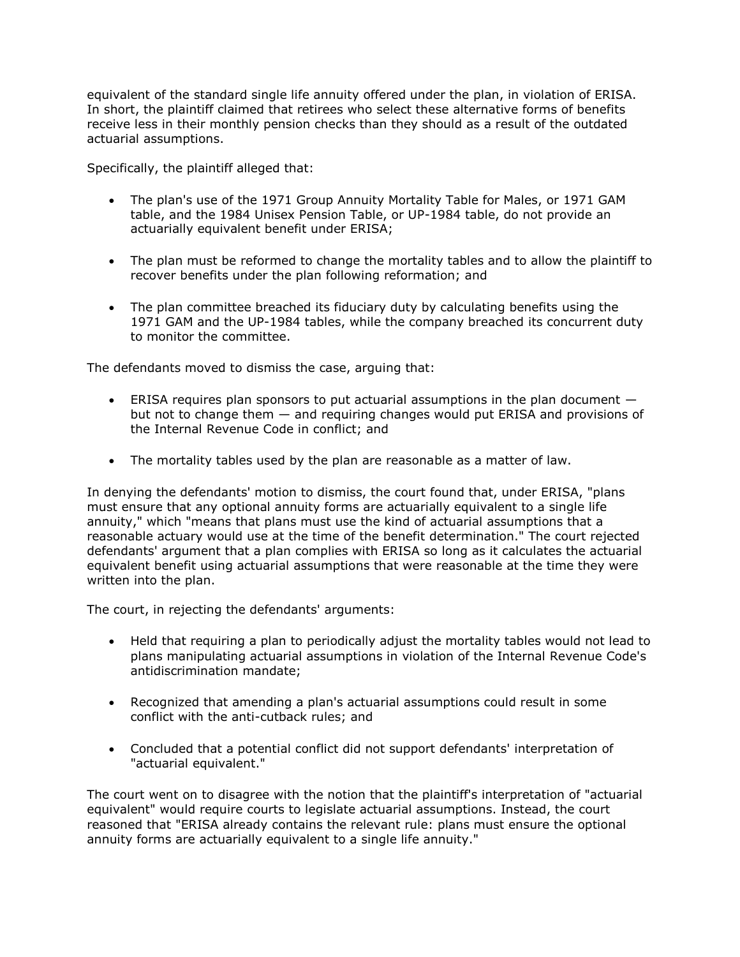equivalent of the standard single life annuity offered under the plan, in violation of ERISA. In short, the plaintiff claimed that retirees who select these alternative forms of benefits receive less in their monthly pension checks than they should as a result of the outdated actuarial assumptions.

Specifically, the plaintiff alleged that:

- The plan's use of the 1971 Group Annuity Mortality Table for Males, or 1971 GAM table, and the 1984 Unisex Pension Table, or UP-1984 table, do not provide an actuarially equivalent benefit under ERISA;
- The plan must be reformed to change the mortality tables and to allow the plaintiff to recover benefits under the plan following reformation; and
- The plan committee breached its fiduciary duty by calculating benefits using the 1971 GAM and the UP-1984 tables, while the company breached its concurrent duty to monitor the committee.

The defendants moved to dismiss the case, arguing that:

- **ERISA requires plan sponsors to put actuarial assumptions in the plan document**  $$ but not to change them — and requiring changes would put ERISA and provisions of the Internal Revenue Code in conflict; and
- The mortality tables used by the plan are reasonable as a matter of law.

In denying the defendants' motion to dismiss, the court found that, under ERISA, "plans must ensure that any optional annuity forms are actuarially equivalent to a single life annuity," which "means that plans must use the kind of actuarial assumptions that a reasonable actuary would use at the time of the benefit determination." The court rejected defendants' argument that a plan complies with ERISA so long as it calculates the actuarial equivalent benefit using actuarial assumptions that were reasonable at the time they were written into the plan.

The court, in rejecting the defendants' arguments:

- Held that requiring a plan to periodically adjust the mortality tables would not lead to plans manipulating actuarial assumptions in violation of the Internal Revenue Code's antidiscrimination mandate;
- Recognized that amending a plan's actuarial assumptions could result in some conflict with the anti-cutback rules; and
- Concluded that a potential conflict did not support defendants' interpretation of "actuarial equivalent."

The court went on to disagree with the notion that the plaintiff's interpretation of "actuarial equivalent" would require courts to legislate actuarial assumptions. Instead, the court reasoned that "ERISA already contains the relevant rule: plans must ensure the optional annuity forms are actuarially equivalent to a single life annuity."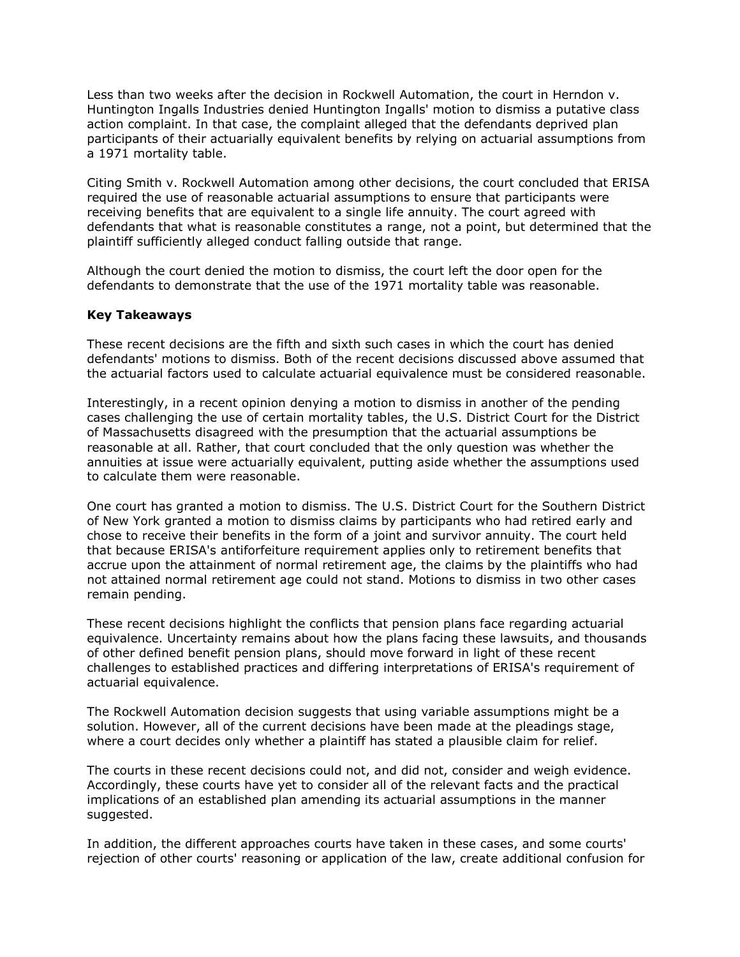Less than two weeks after the decision in Rockwell Automation, the court in Herndon v. Huntington Ingalls Industries denied Huntington Ingalls' motion to dismiss a putative class action complaint. In that case, the complaint alleged that the defendants deprived plan participants of their actuarially equivalent benefits by relying on actuarial assumptions from a 1971 mortality table.

Citing Smith v. Rockwell Automation among other decisions, the court concluded that ERISA required the use of reasonable actuarial assumptions to ensure that participants were receiving benefits that are equivalent to a single life annuity. The court agreed with defendants that what is reasonable constitutes a range, not a point, but determined that the plaintiff sufficiently alleged conduct falling outside that range.

Although the court denied the motion to dismiss, the court left the door open for the defendants to demonstrate that the use of the 1971 mortality table was reasonable.

#### **Key Takeaways**

These recent decisions are the fifth and sixth such cases in which the court has denied defendants' motions to dismiss. Both of the recent decisions discussed above assumed that the actuarial factors used to calculate actuarial equivalence must be considered reasonable.

Interestingly, in a recent opinion denying a motion to dismiss in another of the pending cases challenging the use of certain mortality tables, the [U.S. District Court for the District](https://www.law360.com/agencies/u-s-district-court-for-the-district-of-massachusetts)  [of Massachusetts](https://www.law360.com/agencies/u-s-district-court-for-the-district-of-massachusetts) disagreed with the presumption that the actuarial assumptions be reasonable at all. Rather, that court concluded that the only question was whether the annuities at issue were actuarially equivalent, putting aside whether the assumptions used to calculate them were reasonable.

One court has granted a motion to dismiss. The [U.S. District Court for the Southern District](https://www.law360.com/agencies/u-s-district-court-for-the-southern-district-of-new-york)  [of New York](https://www.law360.com/agencies/u-s-district-court-for-the-southern-district-of-new-york) granted a motion to dismiss claims by participants who had retired early and chose to receive their benefits in the form of a joint and survivor annuity. The court held that because ERISA's antiforfeiture requirement applies only to retirement benefits that accrue upon the attainment of normal retirement age, the claims by the plaintiffs who had not attained normal retirement age could not stand. Motions to dismiss in two other cases remain pending.

These recent decisions highlight the conflicts that pension plans face regarding actuarial equivalence. Uncertainty remains about how the plans facing these lawsuits, and thousands of other defined benefit pension plans, should move forward in light of these recent challenges to established practices and differing interpretations of ERISA's requirement of actuarial equivalence.

The Rockwell Automation decision suggests that using variable assumptions might be a solution. However, all of the current decisions have been made at the pleadings stage, where a court decides only whether a plaintiff has stated a plausible claim for relief.

The courts in these recent decisions could not, and did not, consider and weigh evidence. Accordingly, these courts have yet to consider all of the relevant facts and the practical implications of an established plan amending its actuarial assumptions in the manner suggested.

In addition, the different approaches courts have taken in these cases, and some courts' rejection of other courts' reasoning or application of the law, create additional confusion for